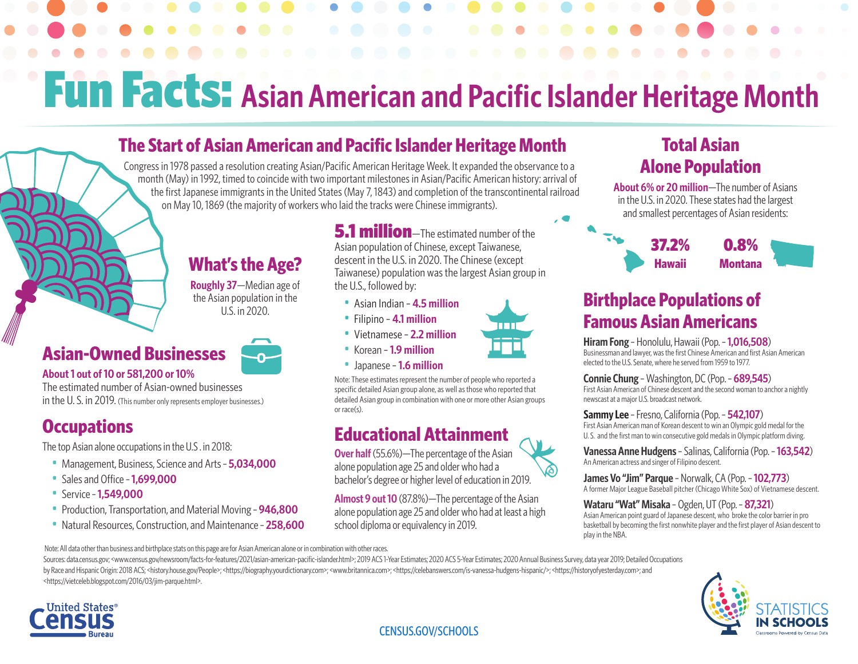## Fun Facts: **Asian American and Pacific Islander Heritage Month**

## **The Start of Asian American and Pacific Islander Heritage Month**

Congress in 1978 passed a resolution creating Asian/Pacific American Heritage Week. It expanded the observance to a month (May) in 1992, timed to coincide with two important milestones in Asian/Pacific American history: arrival of the first Japanese immigrants in the United States (May 7, 1843) and completion of the transcontinental railroad on May 10, 1869 (the majority of workers who laid the tracks were Chinese immigrants).

## **What's the Age?**

**Roughly 37**—Median age of the Asian population in the U.S. in 2020.

### **•Asian-Owned Businesses**



#### **• About 1 out of 10 or 581,200 or 10%**

The estimated number of Asian-owned businesses in the U. S. in 2019. (This number only represents employer businesses.)

## **•Occupations**

The top Asian alone occupations in the U.S . in 2018:

- Management, Business, Science and Arts– **5,034,000**
- Sales and Office– **1,699,000**
- Service– **1,549,000**
- Production, Transportation, and Material Moving– **946,800**
- Natural Resources, Construction, and Maintenance– **258,600**

**5.1 million**-The estimated number of the Asian population of Chinese, except Taiwanese, descent in the U.S. in 2020. The Chinese (except Taiwanese) population was the largest Asian group in the U.S., followed by:

- Asian Indian **4.5 million**
- Filipino **4.1 million**
- Vietnamese **2.2 million**
- Korean **1.9 million**

man

• Japanese – **1.6 million**

Note: These estimates represent the number of people who reported a specific detailed Asian group alone, as well as those who reported that detailed Asian group in combination with one or more other Asian groups or race(s).

## **Educational Attainment**

**Over half** (55.6%)—The percentage of the Asian alone population age 25 and older who had a bachelor's degree or higher level of education in 2019.

**Almost 9 out 10** (87.8%)—The percentage of the Asian alone population age 25 and older who had at least a high school diploma or equivalency in 2019.



**About 6% or 20 million**—The number of Asians in the U.S. in 2020. These states had the largest and smallest percentages of Asian residents:



## **Birthplace Populations of Famous Asian Americans**

**Hiram Fong** – Honolulu, Hawaii (Pop.– **1,016,508**) Businessman and lawyer, was the first Chinese American and first Asian American elected to the U.S. Senate, where he served from 1959 to 1977.

#### **Connie Chung** – Washington, DC (Pop.– **689,545**)

First Asian American of Chinese descent and the second woman to anchor a nightly newscast at a major U.S. broadcast network.

#### **Sammy Lee** – Fresno, California (Pop.– **542,107**)

First Asian American man of Korean descent to win an Olympic gold medal for the U. S. and the first man to win consecutive gold medals in Olympic platform diving.

**Vanessa Anne Hudgens** – Salinas, California (Pop. – **163,542**) An American actress and singer of Filipino descent.

**James Vo "Jim" Parque** – Norwalk, CA (Pop.– **102,773**) A former Major League Baseball pitcher (Chicago White Sox) of Vietnamese descent.

#### **Wataru "Wat" Misaka** – Ogden, UT (Pop.– **87,321**)

Asian American point guard of Japanese descent, who broke the color barrier in pro basketball by becoming the first nonwhite player and the first player of Asian descent to play in the NBA.

 Note: All data other than business and birthplace stats on this page are for Asian American alone or in combination with other races. Sources: data.census.gov; <www.census.gov/newsroom/facts-for-features/2021/asian-american-pacific-islander.html>; 2019 ACS 1-Year Estimates; 2020 ACS 5-Year Estimates; 2020 Annual Business Survey, data year 2019; Detailed by Race and Hispanic Origin: 2018 ACS; <history.house.gov/People>; <https://biography.yourdictionary.com>; <www.britannica.com>; <https://celebanswers.com/is-vanessa-hudgens-hispanic/>; <https://historyofyesterday.com>; and <https://vietceleb.blogspot.com/2016/03/jim-parque.html>.